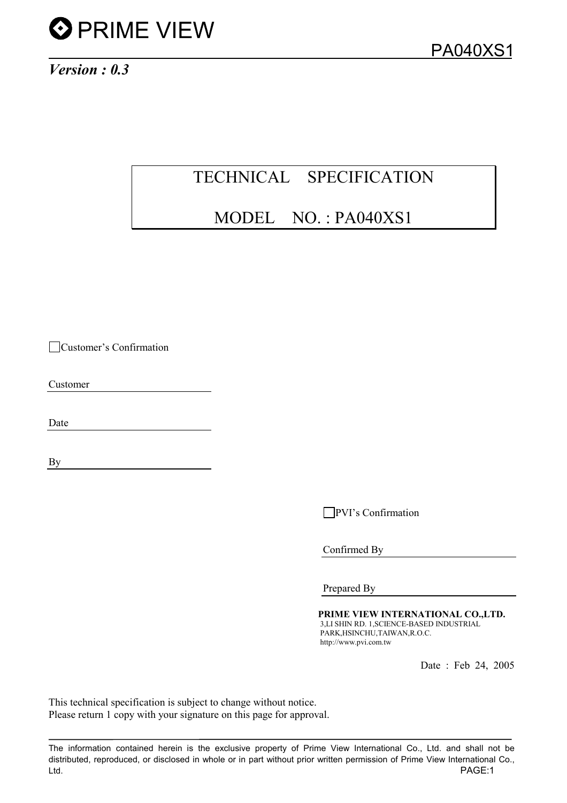

*Version : 0.3*

# TECHNICAL SPECIFICATION

# MODEL NO. : PA040XS1

Customer's Confirmation

Customer

Date

By

**PVI**'s Confirmation

Confirmed By

Prepared By

PRIME VIEW INTERNATIONAL CO.,LTD. 3,LI SHIN RD. 1,SCIENCE-BASED INDUSTRIAL PARK,HSINCHU,TAIWAN,R.O.C. http://www.pvi.com.tw

Date : Feb 24, 2005

This technical specification is subject to change without notice. Please return 1 copy with your signature on this page for approval.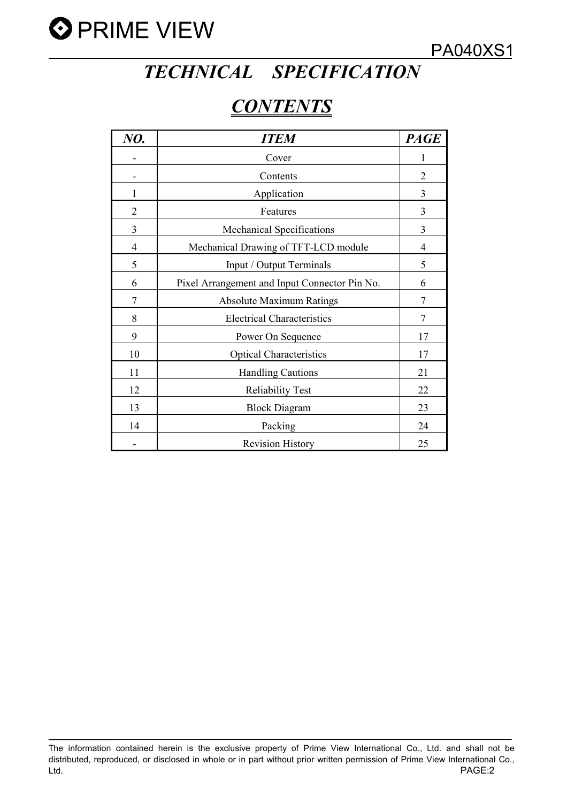

# *TECHNICAL SPECIFICATION*

# *CONTENTS*

| NO.            | <b>ITEM</b>                                   | <b>PAGE</b>    |
|----------------|-----------------------------------------------|----------------|
|                | Cover                                         | 1              |
|                | Contents                                      | $\overline{2}$ |
| 1              | Application                                   | 3              |
| $\overline{2}$ | Features                                      | 3              |
| $\overline{3}$ | <b>Mechanical Specifications</b>              | 3              |
| 4              | Mechanical Drawing of TFT-LCD module          | $\overline{4}$ |
| 5              | Input / Output Terminals                      | 5              |
| 6              | Pixel Arrangement and Input Connector Pin No. | 6              |
| 7              | <b>Absolute Maximum Ratings</b>               | $\overline{7}$ |
| 8              | <b>Electrical Characteristics</b>             | $\overline{7}$ |
| 9              | Power On Sequence                             | 17             |
| 10             | <b>Optical Characteristics</b>                | 17             |
| 11             | <b>Handling Cautions</b>                      | 21             |
| 12             | <b>Reliability Test</b>                       | 22             |
| 13             | <b>Block Diagram</b>                          | 23             |
| 14             | Packing                                       | 24             |
|                | <b>Revision History</b>                       | 25             |

The information contained herein is the exclusive property of Prime View International Co., Ltd. and shall not be distributed, reproduced, or disclosed in whole or in part without prior written permission of Prime View International Co., Ltd. PAGE:2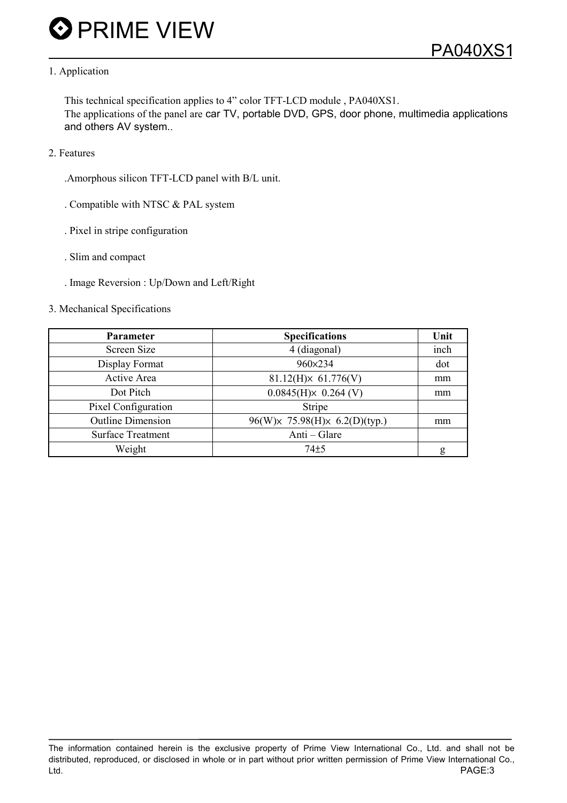### 1. Application

This technical specification applies to 4" color TFT-LCD module , PA040XS1. The applications of the panel are car TV, portable DVD, GPS, door phone, multimedia applications and others AV system..

2. Features

.Amorphous silicon TFT-LCD panel with B/L unit.

- . Compatible with NTSC & PAL system
- . Pixel in stripe configuration
- . Slim and compact
- . Image Reversion : Up/Down and Left/Right
- 3. Mechanical Specifications

| Parameter                | <b>Specifications</b>                         | Unit |
|--------------------------|-----------------------------------------------|------|
| Screen Size              | 4 (diagonal)                                  | inch |
| Display Format           | 960×234                                       | dot  |
| Active Area              | $81.12(H) \times 61.776(V)$                   | mm   |
| Dot Pitch                | $0.0845(H)x$ 0.264 (V)                        | mm   |
| Pixel Configuration      | Stripe                                        |      |
| <b>Outline Dimension</b> | 96(W) $\times$ 75.98(H) $\times$ 6.2(D)(typ.) | mm   |
| <b>Surface Treatment</b> | Anti – Glare                                  |      |
| Weight                   | $74 + 5$                                      | g    |

The information contained herein is the exclusive property of Prime View International Co., Ltd. and shall not be distributed, reproduced, or disclosed in whole or in part without prior written permission of Prime View International Co., Ltd. PAGE:3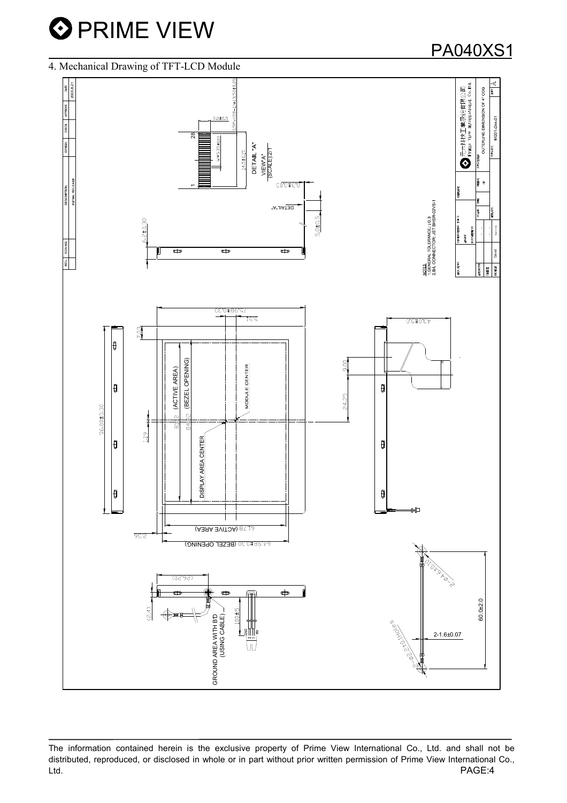# PA040XS1

#### 4. Mechanical Drawing of TFT-LCD Module

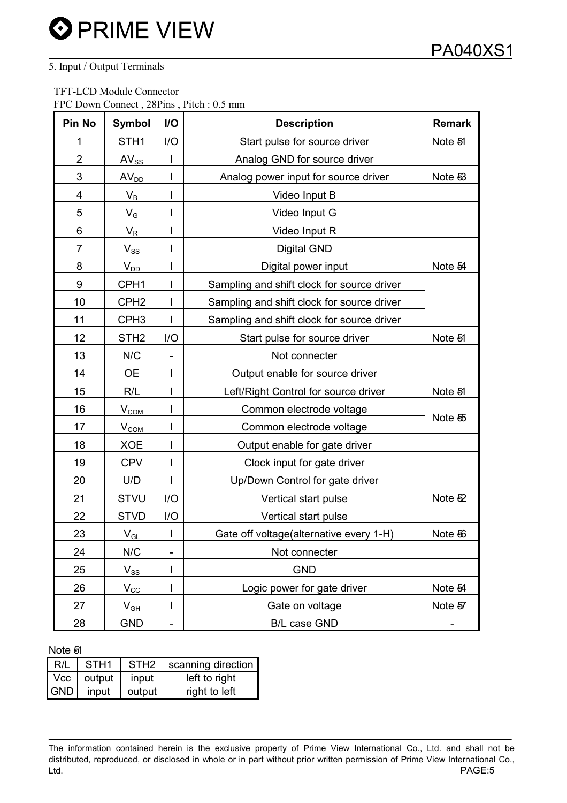## 5. Input / Output Terminals

 TFT-LCD Module Connector FPC Down Connect , 28Pins , Pitch : 0.5 mm

| <b>Pin No</b>  | <b>Symbol</b>           | I/O | <b>Description</b>                         | <b>Remark</b> |
|----------------|-------------------------|-----|--------------------------------------------|---------------|
| 1              | STH <sub>1</sub>        | I/O | Start pulse for source driver              | Note 51       |
| $\overline{2}$ | $AV_{SS}$               |     | Analog GND for source driver               |               |
| 3              | AV <sub>DD</sub>        |     | Analog power input for source driver       | Note 53       |
| 4              | $\mathsf{V}_\mathsf{B}$ |     | Video Input B                              |               |
| 5              | $V_G$                   |     | Video Input G                              |               |
| 6              | $V_R$                   |     | Video Input R                              |               |
| 7              | $V_{SS}$                |     | <b>Digital GND</b>                         |               |
| 8              | $V_{DD}$                |     | Digital power input                        | Note 54       |
| 9              | CPH <sub>1</sub>        |     | Sampling and shift clock for source driver |               |
| 10             | CPH <sub>2</sub>        |     | Sampling and shift clock for source driver |               |
| 11             | CPH <sub>3</sub>        |     | Sampling and shift clock for source driver |               |
| 12             | STH <sub>2</sub>        | I/O | Start pulse for source driver              | Note 51       |
| 13             | N/C                     |     | Not connecter                              |               |
| 14             | <b>OE</b>               |     | Output enable for source driver            |               |
| 15             | R/L                     |     | Left/Right Control for source driver       | Note 51       |
| 16             | V <sub>COM</sub>        |     | Common electrode voltage                   |               |
| 17             | V <sub>COM</sub>        |     | Common electrode voltage                   | Note 55       |
| 18             | <b>XOE</b>              |     | Output enable for gate driver              |               |
| 19             | <b>CPV</b>              |     | Clock input for gate driver                |               |
| 20             | U/D                     |     | Up/Down Control for gate driver            |               |
| 21             | <b>STVU</b>             | I/O | Vertical start pulse                       | Note 52       |
| 22             | <b>STVD</b>             | I/O | Vertical start pulse                       |               |
| 23             | $V_{GL}$                |     | Gate off voltage(alternative every 1-H)    | Note 56       |
| 24             | N/C                     |     | Not connecter                              |               |
| 25             | $V_{SS}$                |     | <b>GND</b>                                 |               |
| 26             | $V_{\text{CC}}$         |     | Logic power for gate driver                | Note 54       |
| 27             | $V_{GH}$                |     | Gate on voltage                            | Note 57       |
| 28             | <b>GND</b>              |     | B/L case GND                               |               |

#### Note 51

| R/L            | STH <sub>1</sub> | STH <sub>2</sub> | scanning direction |
|----------------|------------------|------------------|--------------------|
| $Vcc$ $\vdash$ | output           | input            | left to right      |
| GND            | input            | output           | right to left      |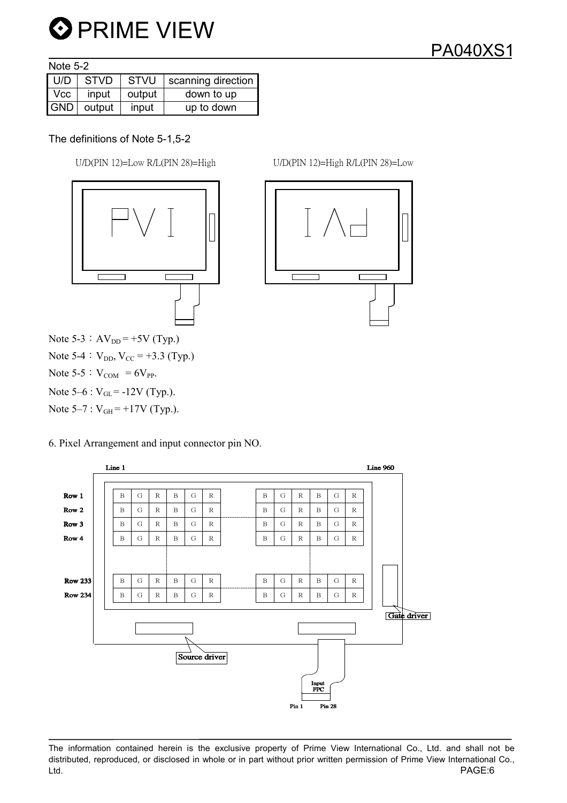

Note 5-2

| U/D | <b>STVD</b>  | STVU   | scanning direction |
|-----|--------------|--------|--------------------|
| Vcc | input        | output | down to up         |
|     | GND   output | input  | up to down         |

## The definitions of Note 5-1,5-2

 $U/D(PIN 12)=Low R/L(PIN 28)=High$   $U/D(PIN 12)=High R/L(PIN 28)=Low$ 



Note 5-3:  $AV_{DD} = +5V$  (Typ.) Note 5-4:  $V_{DD}$ ,  $V_{CC}$  = +3.3 (Typ.) Note 5-5 :  $V_{COM} = 6V_{PP}$ . Note  $5-6$  :  $V_{GL} = -12V$  (Typ.). Note  $5-7$  :  $V_{GH} = +17V$  (Typ.).

6. Pixel Arrangement and input connector pin NO.



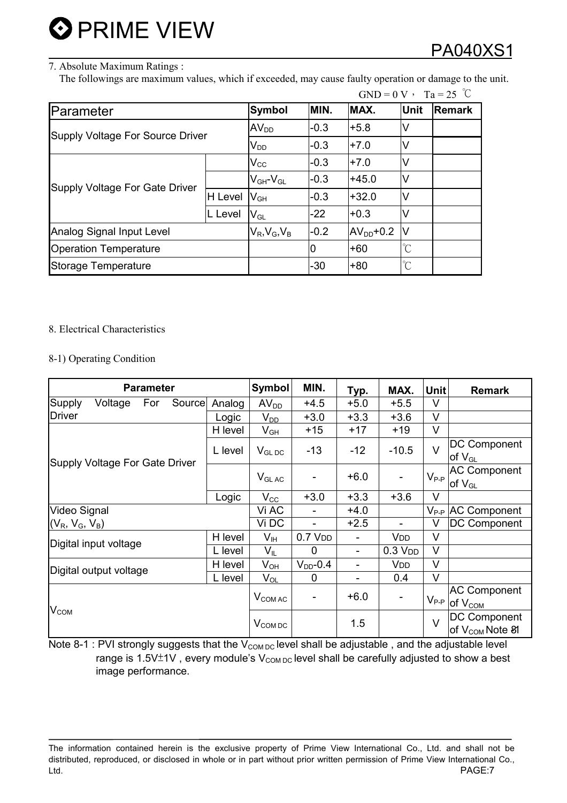# PA040XS1

### 7. Absolute Maximum Ratings :

The followings are maximum values, which if exceeded, may cause faulty operation or damage to the unit.

|                                       |                       |                            |            |                      |                      | $GND = 0 V$ , $Ta = 25$ °C |
|---------------------------------------|-----------------------|----------------------------|------------|----------------------|----------------------|----------------------------|
| Parameter                             | <b>Symbol</b>         | MIN.                       | MAX.       | Unit                 | <b>Remark</b>        |                            |
| Supply Voltage For Source Driver      | $AV_{DD}$             | $-0.3$                     | $+5.8$     | V                    |                      |                            |
|                                       |                       | $\mathsf{V}_{\mathsf{DD}}$ | $-0.3$     | $+7.0$               | V                    |                            |
| <b>Supply Voltage For Gate Driver</b> |                       | $\mathsf{V}_{\mathsf{CC}}$ | $-0.3$     | $+7.0$               | ٧                    |                            |
|                                       |                       | $V_{GH}$ - $V_{GL}$        | $-0.3$     | $+45.0$              | V                    |                            |
|                                       | H Level               | $V_{GH}$                   | $-0.3$     | $+32.0$              | ٧                    |                            |
|                                       | L Level               | $\mathsf{V}_{\mathsf{GL}}$ | $-22$      | $+0.3$               | ٧                    |                            |
| Analog Signal Input Level             | $V_R$ , $V_G$ , $V_B$ | $-0.2$                     | $AVDD+0.2$ | V                    |                      |                            |
| <b>Operation Temperature</b>          |                       | 0                          | $+60$      | $\mathrm{C}^{\circ}$ |                      |                            |
| Storage Temperature                   |                       |                            | $-30$      | $+80$                | $\mathrm{C}^{\circ}$ |                            |

### 8. Electrical Characteristics

### 8-1) Operating Condition

| <b>Parameter</b>                      |                       |     |         |                     | <b>Symbol</b>              | MIN.                | Typ.                     | MAX.                   | Unit                                                              | <b>Remark</b>                                             |
|---------------------------------------|-----------------------|-----|---------|---------------------|----------------------------|---------------------|--------------------------|------------------------|-------------------------------------------------------------------|-----------------------------------------------------------|
| Supply                                | Voltage               | For | Source  | Analog              | AV <sub>DD</sub>           | $+4.5$              | $+5.0$                   | $+5.5$                 | V                                                                 |                                                           |
| <b>Driver</b>                         |                       |     |         | Logic               | $V_{DD}$                   | $+3.0$              | $+3.3$                   | $+3.6$                 | $\vee$                                                            |                                                           |
|                                       |                       |     |         | H level             | $\mathsf{V}_{\mathsf{GH}}$ | $+15$               | $+17$                    | $+19$                  | $\vee$                                                            |                                                           |
|                                       |                       |     |         | L level             | $V_{GL,DC}$                | $-13$               | $-12$                    | $-10.5$                | $\vee$                                                            | DC Component<br>of $V_{GL}$                               |
| <b>Supply Voltage For Gate Driver</b> |                       |     |         | $V_{GLAC}$          |                            | $+6.0$              |                          | $V_{P-P}$              | <b>AC Component</b><br>$\mathsf{I}$ of $\mathsf{V}_{\mathsf{GL}}$ |                                                           |
|                                       |                       |     |         | Logic               | $V_{\rm CC}$               | $+3.0$              | $+3.3$                   | $+3.6$                 | V                                                                 |                                                           |
| Video Signal                          |                       |     |         |                     | Vi AC                      | -                   | $+4.0$                   |                        |                                                                   | $V_{P-P}$ AC Component                                    |
| $(V_R, V_G, V_B)$                     |                       |     |         |                     | Vi DC                      | -                   | $+2.5$                   | -                      | V                                                                 | <b>DC Component</b>                                       |
|                                       | Digital input voltage |     |         | H level             | $\mathsf{V}_{\mathsf{IH}}$ | 0.7 V <sub>DD</sub> |                          | <b>V</b> <sub>DD</sub> | $\vee$                                                            |                                                           |
|                                       |                       |     |         | L level             | $V_{IL}$                   | $\Omega$            | $\overline{\phantom{a}}$ | 0.3 V <sub>DD</sub>    | $\vee$                                                            |                                                           |
|                                       |                       |     |         | H level             | $V_{OH}$                   | $V_{DD}$ -0.4       |                          | <b>V</b> <sub>DD</sub> | V                                                                 |                                                           |
| Digital output voltage                |                       |     | L level | $V_{OL}$            | 0                          |                     | 0.4                      | $\vee$                 |                                                                   |                                                           |
|                                       |                       |     |         |                     | V <sub>COM AC</sub>        |                     | $+6.0$                   |                        |                                                                   | <b>AC Component</b><br>$V_{P-P}$ of $V_{\underline{COM}}$ |
| $V_{COM}$                             |                       |     |         | V <sub>COM DC</sub> |                            | 1.5                 |                          | $\mathsf{V}$           | <b>DC Component</b><br>of V <sub>COM</sub> Note 81                |                                                           |

Note 8-1 : PVI strongly suggests that the  $V_{COM\,DC}$  level shall be adjustable, and the adjustable level range is 1.5V $\pm$ 1V, every module's V<sub>COM DC</sub> level shall be carefully adjusted to show a best image performance.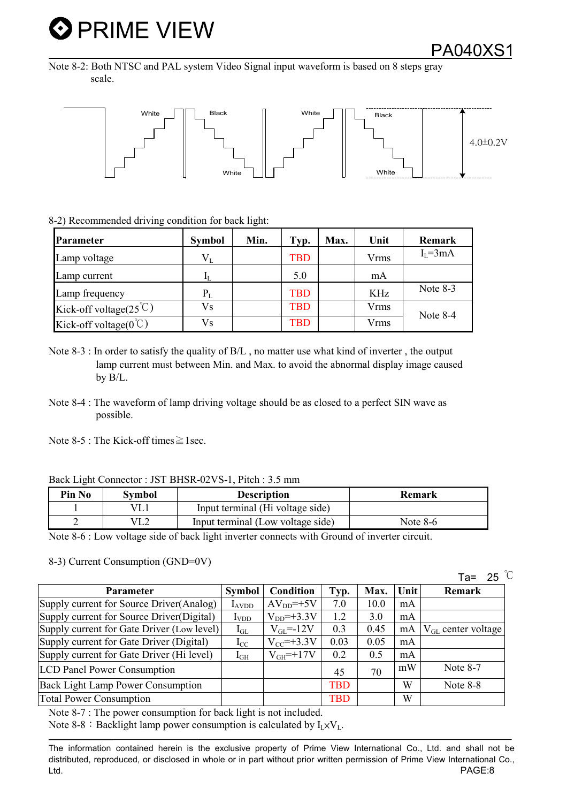PA040XS1

Note 8-2: Both NTSC and PAL system Video Signal input waveform is based on 8 steps gray scale.



#### 8-2) Recommended driving condition for back light:

| Parameter                          | <b>Symbol</b> | Min. | Typ.       | <b>Max.</b> | Unit | Remark        |
|------------------------------------|---------------|------|------------|-------------|------|---------------|
| Lamp voltage                       | $V_{L}$       |      | <b>TBD</b> |             | Vrms | $I_{I} = 3mA$ |
| Lamp current                       | ΙL.           |      | 5.0        |             | mA   |               |
| Lamp frequency                     | $P_L$         |      | TBD        |             | KHz  | Note 8-3      |
| Kick-off voltage( $25^{\circ}$ C)  | Vs            |      | TBD        |             | Vrms | Note 8-4      |
| Kick-off voltage( $0^{\degree}$ C) | Vs            |      | TBD        |             | Vrms |               |

- Note 8-3 : In order to satisfy the quality of B/L , no matter use what kind of inverter , the output lamp current must between Min. and Max. to avoid the abnormal display image caused by B/L.
- Note 8-4 : The waveform of lamp driving voltage should be as closed to a perfect SIN wave as possible.

Note 8-5 : The Kick-off times  $\geq$  1 sec.

| Pin No | Symbol | <b>Description</b>                | <b>Remark</b> |
|--------|--------|-----------------------------------|---------------|
|        |        | Input terminal (Hi voltage side)  |               |
|        |        | Input terminal (Low voltage side) | Note $8-6$    |

Note 8-6 : Low voltage side of back light inverter connects with Ground of inverter circuit.

8-3) Current Consumption (GND=0V)

Parameter Symbol Condition Typ. Max. Unit Remark Supply current for Source Driver(Analog)  $\vert$  I<sub>AVDD</sub>  $\vert$  AV<sub>DD</sub>=+5V  $\vert$  7.0  $\vert$  10.0  $\vert$  mA Supply current for Source Driver(Digital) IVDD VDD=+3.3V 1.2 3.0 mA Supply current for Gate Driver (Low level)  $I_{GL}$   $V_{GL}$  =-12V  $\vert$  0.3  $\vert$  0.45  $\vert$  mA  $\vert V_{GL}$  center voltage Supply current for Gate Driver (Digital)  $I_{\text{CC}}$   $V_{\text{CC}}$ =+3.3V 0.03 0.05 mA Supply current for Gate Driver (Hi level) IGH VGH=+17V 0.2 0.5 mA LCD Panel Power Consumption <sup>45</sup> <sup>70</sup> mW Note 8-7 Back Light Lamp Power Consumption TRD TBD W Note 8-8 Total Power Consumption Total Power Consumption

Note 8-7 : The power consumption for back light is not included.

Note 8-8: Backlight lamp power consumption is calculated by  $I_1 \times V_1$ .

Ta= 25  $\degree$ C

The information contained herein is the exclusive property of Prime View International Co., Ltd. and shall not be distributed, reproduced, or disclosed in whole or in part without prior written permission of Prime View International Co., Ltd. PAGE:8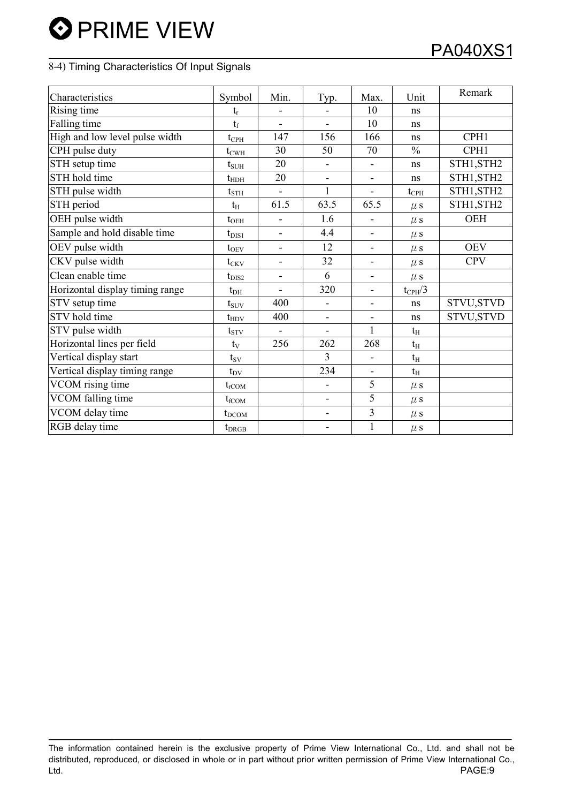## 8-4) Timing Characteristics Of Input Signals

| Characteristics                 | Symbol            | Min.           | Typ.                     | Max.                     | Unit               | Remark     |
|---------------------------------|-------------------|----------------|--------------------------|--------------------------|--------------------|------------|
| Rising time                     | $t_{r}$           |                |                          | 10                       | ns                 |            |
| Falling time                    | $t_f$             | $\overline{a}$ | $\blacksquare$           | 10                       | ns                 |            |
| High and low level pulse width  | $t_{\rm{CPH}}$    | 147            | 156                      | 166                      | ns                 | CPH1       |
| CPH pulse duty                  | $t_{\text{CWH}}$  | 30             | 50                       | 70                       | $\frac{0}{0}$      | CPH1       |
| STH setup time                  | $t_{\text{SUH}}$  | 20             |                          |                          | ns                 | STH1, STH2 |
| STH hold time                   | $t_{\text{HDH}}$  | 20             | $\blacksquare$           | $\blacksquare$           | ns                 | STH1, STH2 |
| STH pulse width                 | $t_{\rm STH}$     | $\overline{a}$ | $\mathbf{1}$             | $\blacksquare$           | $t_{\rm{CPH}}$     | STH1, STH2 |
| STH period                      | $t_{\rm H}$       | 61.5           | 63.5                     | 65.5                     | $\mu$ s            | STH1, STH2 |
| OEH pulse width                 | $t_{OEH}$         | ÷,             | 1.6                      | $\overline{\phantom{a}}$ | $\mu$ s            | <b>OEH</b> |
| Sample and hold disable time    | $t_{\rm DIS1}$    | $\overline{a}$ | 4.4                      | $\overline{\phantom{a}}$ | $\mu$ s            |            |
| OEV pulse width                 | $t_{\rm OEV}$     | ÷,             | 12                       | $\overline{\phantom{a}}$ | $\mu$ s            | <b>OEV</b> |
| CKV pulse width                 | $t_{CKV}$         | ÷,             | 32                       | $\overline{\phantom{a}}$ | $\mu$ s            | <b>CPV</b> |
| Clean enable time               | $t_{\rm DIS2}$    | ÷,             | 6                        | $\blacksquare$           | $\mu$ s            |            |
| Horizontal display timing range | $t_{\rm DH}$      | ÷,             | 320                      | $\overline{\phantom{a}}$ | $t_{\text{CPH}}/3$ |            |
| STV setup time                  | $t_{\rm{SUV}}$    | 400            | $\overline{a}$           | $\overline{\phantom{a}}$ | ns                 | STVU, STVD |
| STV hold time                   | $t_{HDV}$         | 400            | $\blacksquare$           | $\overline{\phantom{a}}$ | ns                 | STVU, STVD |
| STV pulse width                 | $t_{STV}$         | $\blacksquare$ | $\overline{a}$           | $\mathbf{1}$             | $t_{\rm H}$        |            |
| Horizontal lines per field      | $t_V$             | 256            | 262                      | 268                      | $t_{\rm H}$        |            |
| Vertical display start          | $t_{SV}$          |                | 3                        | $\overline{\phantom{a}}$ | $t_{\rm H}$        |            |
| Vertical display timing range   | $t_{\rm DV}$      |                | 234                      | $\blacksquare$           | $t_{\rm H}$        |            |
| VCOM rising time                | $t_{\rm rCOM}$    |                | ä,                       | 5                        | $\mu$ s            |            |
| VCOM falling time               | $t_{fCOM}$        |                | $\overline{\phantom{0}}$ | 5                        | $\mu$ s            |            |
| VCOM delay time                 | $t_{\text{DCOM}}$ |                | $\overline{\phantom{0}}$ | $\overline{3}$           | $\mu$ s            |            |
| RGB delay time                  | $t_{DRGB}$        |                |                          | $\mathbf{1}$             | $\mu$ s            |            |

The information contained herein is the exclusive property of Prime View International Co., Ltd. and shall not be distributed, reproduced, or disclosed in whole or in part without prior written permission of Prime View International Co., Ltd. PAGE:9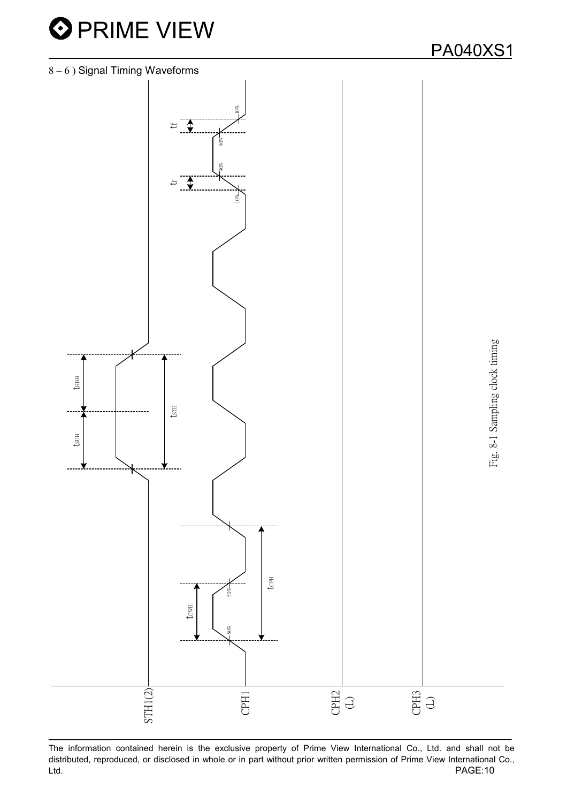



The information contained herein is the exclusive property of Prime View International Co., Ltd. and shall not be distributed, reproduced, or disclosed in whole or in part without prior written permission of Prime View International Co., Ltd. PAGE:10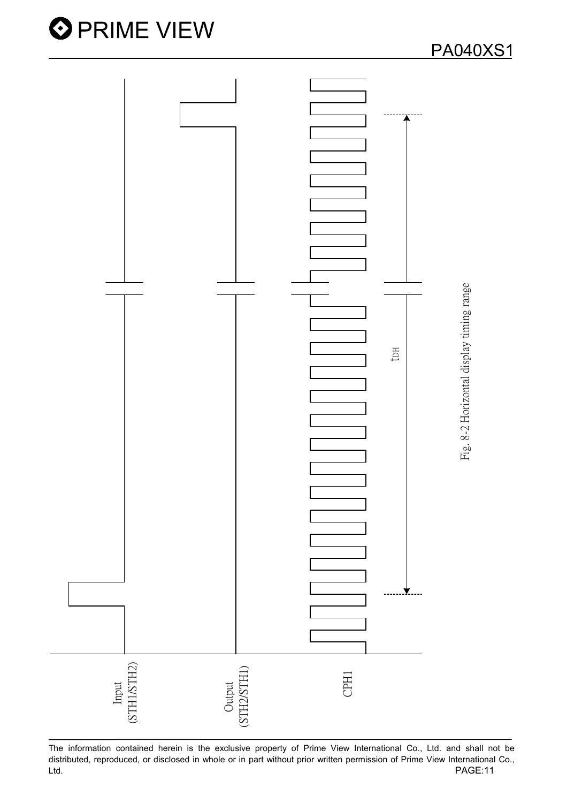

The information contained herein is the exclusive property of Prime View International Co., Ltd. and shall not be distributed, reproduced, or disclosed in whole or in part without prior written permission of Prime View International Co., PAGE:11 Ltd.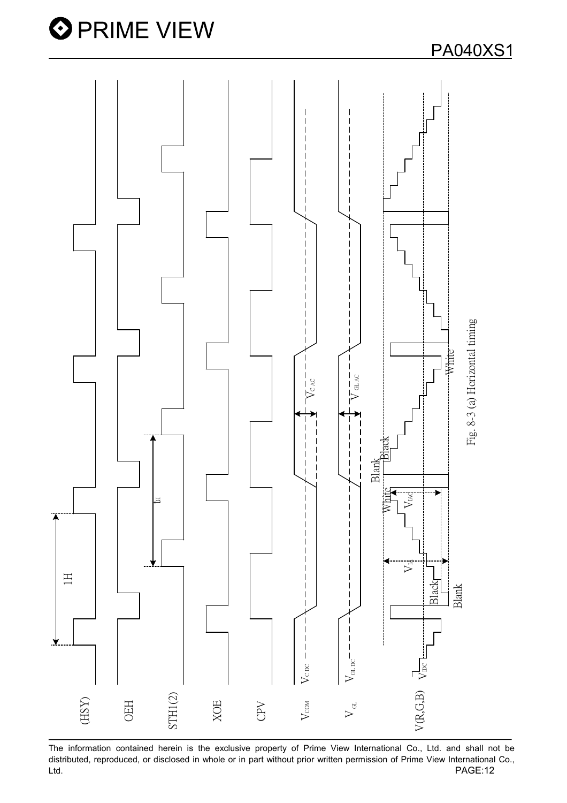

The information contained herein is the exclusive property of Prime View International Co., Ltd. and shall not be distributed, reproduced, or disclosed in whole or in part without prior written permission of Prime View International Co., PAGE:12 Ltd.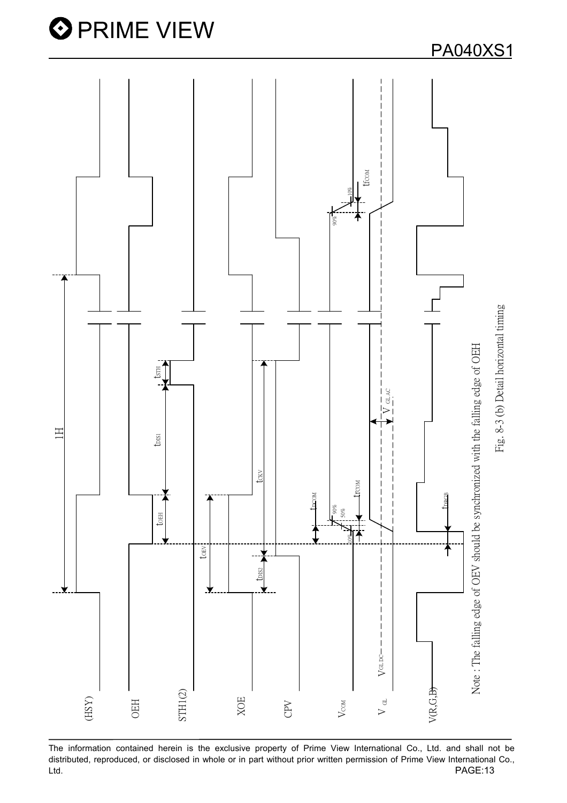

The information contained herein is the exclusive property of Prime View International Co., Ltd. and shall not be distributed, reproduced, or disclosed in whole or in part without prior written permission of Prime View International Co., Ltd. PAGE:13

**PA040XS1**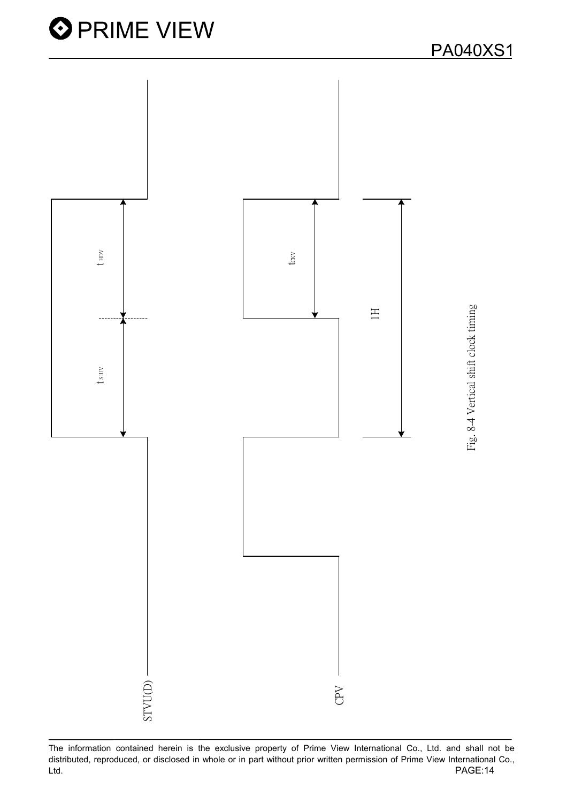

The information contained herein is the exclusive property of Prime View International Co., Ltd. and shall not be distributed, reproduced, or disclosed in whole or in part without prior written permission of Prime View International Co., PAGE:14 Ltd.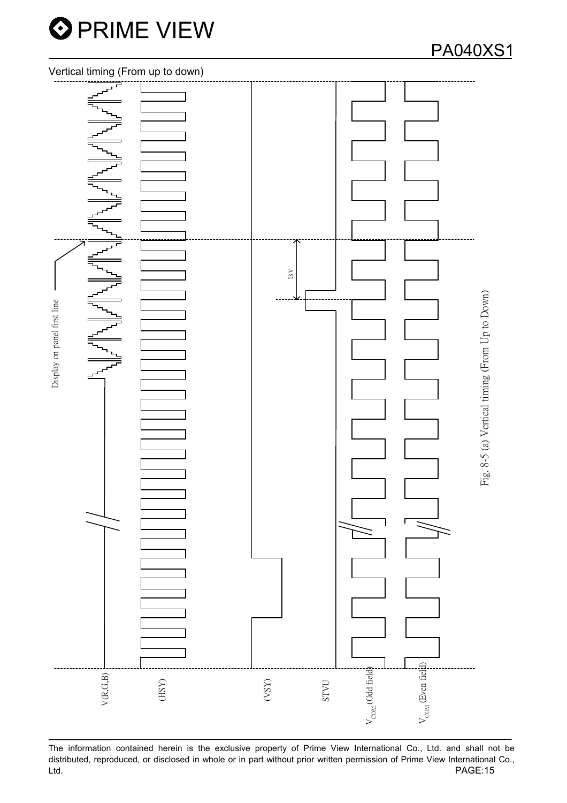

## **PA040XS1**

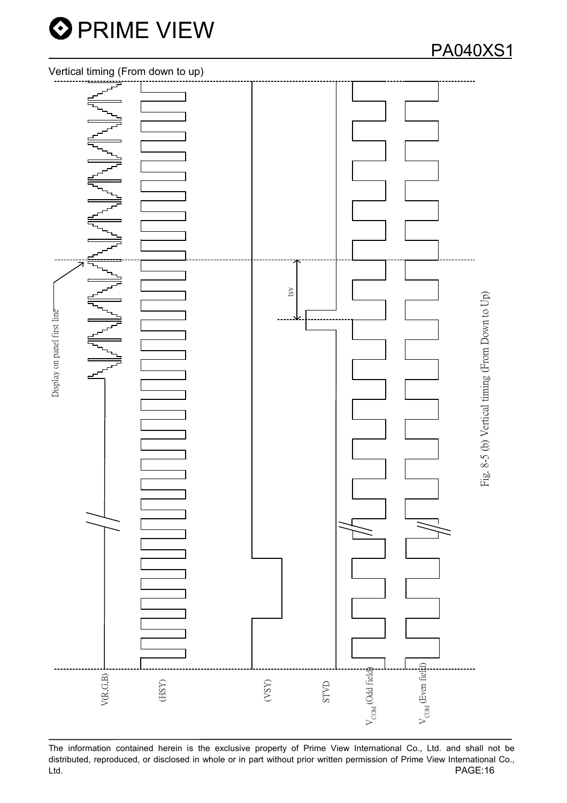



The information contained herein is the exclusive property of Prime View International Co., Ltd. and shall not be distributed, reproduced, or disclosed in whole or in part without prior written permission of Prime View International Co., Ltd. PAGE:16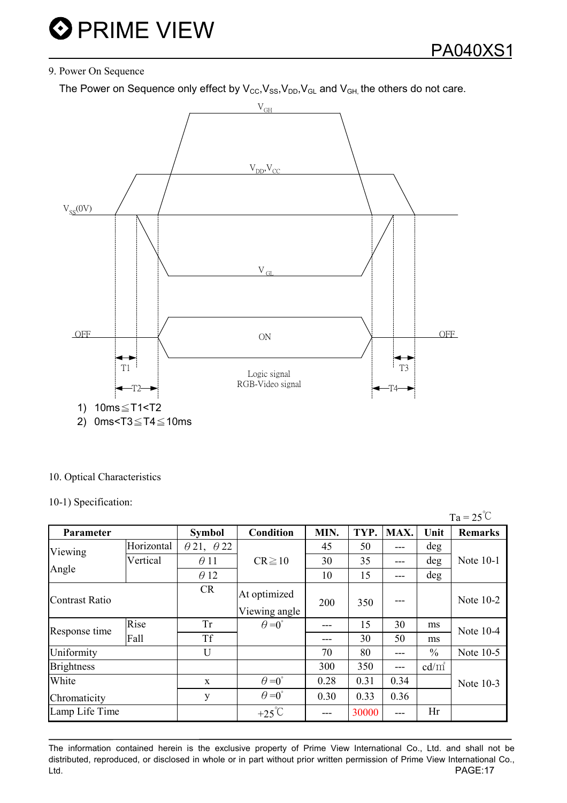### 9. Power On Sequence

The Power on Sequence only effect by  $V_{CC}$ ,  $V_{SS}$ ,  $V_{DD}$ ,  $V_{GL}$  and  $V_{GH}$ , the others do not care.



#### 10. Optical Characteristics

10-1) Specification:

|                       |            |                          |                               |      |       |       |               | $Ta = 25^{\circ}C$ |  |
|-----------------------|------------|--------------------------|-------------------------------|------|-------|-------|---------------|--------------------|--|
| Parameter             |            | <b>Symbol</b>            | <b>Condition</b>              | MIN. | TYP.  | MAX.  | Unit          | <b>Remarks</b>     |  |
| Viewing               | Horizontal | $\theta$ 21, $\theta$ 22 |                               | 45   | 50    | ---   | deg           |                    |  |
|                       | Vertical   | $\theta$ 11              | $CR \ge 10$                   | 30   | 35    | ---   | deg           | Note 10-1          |  |
| Angle                 |            | $\theta$ 12              |                               | 10   | 15    | $---$ | deg           |                    |  |
| <b>Contrast Ratio</b> |            | <b>CR</b>                | At optimized<br>Viewing angle | 200  | 350   |       |               | Note 10-2          |  |
|                       | Rise       | <b>Tr</b>                | $\theta = 0^{\circ}$          |      | 15    | 30    | ms            | Note 10-4          |  |
| Response time         | Fall       | <b>Tf</b>                |                               | ---  | 30    | 50    | ms            |                    |  |
| Uniformity            |            | U                        |                               | 70   | 80    | ---   | $\frac{0}{0}$ | Note 10-5          |  |
| <b>Brightness</b>     |            |                          |                               | 300  | 350   | $---$ | $cd/m^2$      |                    |  |
| White                 |            | X                        | $\theta = 0^{\circ}$          | 0.28 | 0.31  | 0.34  |               | Note 10-3          |  |
| Chromaticity          |            | y                        | $\theta = 0^{\circ}$          | 0.30 | 0.33  | 0.36  |               |                    |  |
| Lamp Life Time        |            |                          | +25 $\mathrm{C}$              |      | 30000 | ---   | Hr            |                    |  |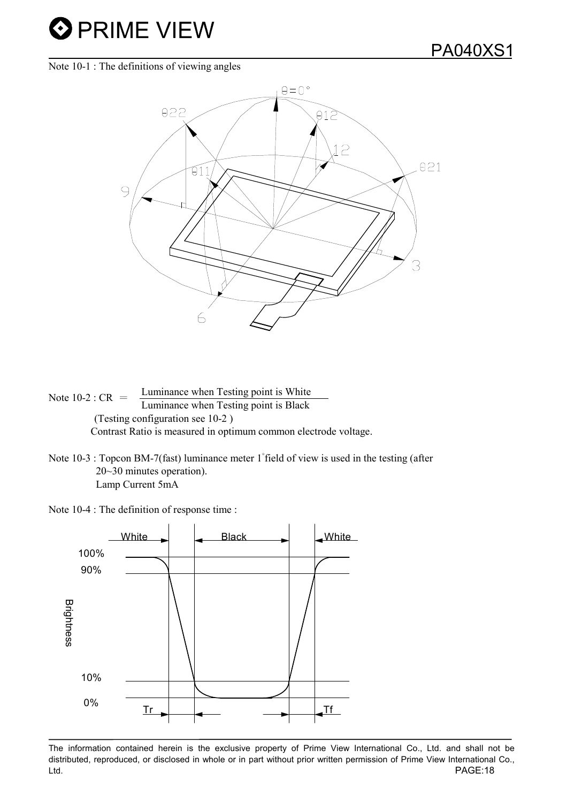Note 10-1 : The definitions of viewing angles



Note 10-2 :  $CR =$  Luminance when Testing point is White Luminance when Testing point is Black (Testing configuration see 10-2 ) Contrast Ratio is measured in optimum common electrode voltage.

Note  $10-3$ : Topcon BM-7(fast) luminance meter 1 field of view is used in the testing (after 20~30 minutes operation). Lamp Current 5mA

Note 10-4 : The definition of response time :

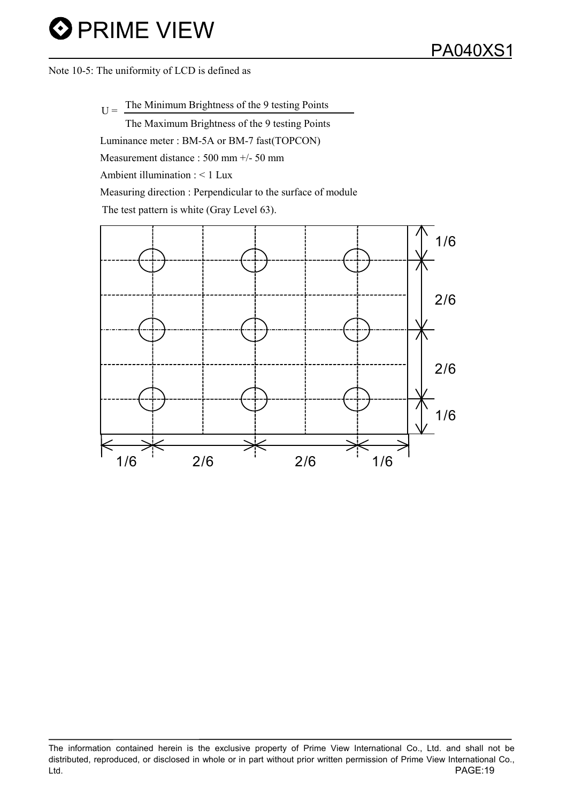Note 10-5: The uniformity of LCD is defined as

 $U =$  The Minimum Brightness of the 9 testing Points

The Maximum Brightness of the 9 testing Points Luminance meter : BM-5A or BM-7 fast(TOPCON) Measurement distance : 500 mm +/- 50 mm Ambient illumination : < 1 Lux Measuring direction : Perpendicular to the surface of module The test pattern is white (Gray Level 63).

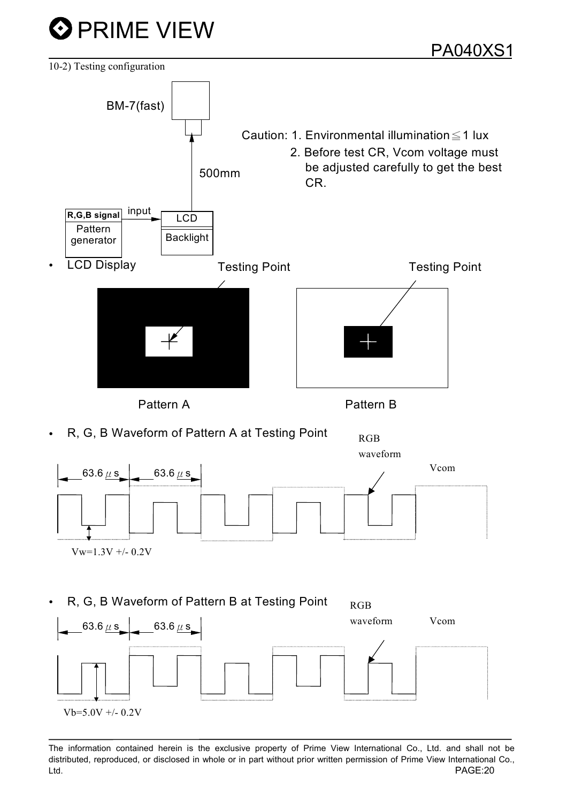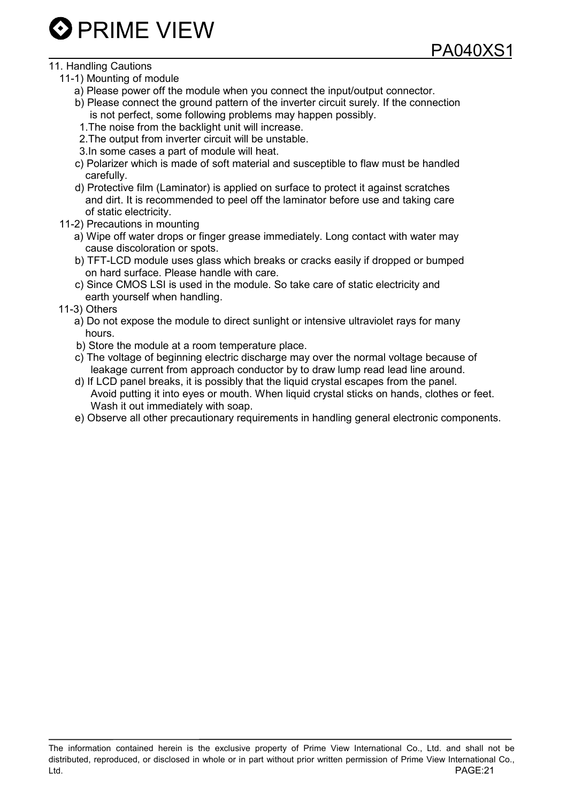### 11. Handling Cautions

- 11-1) Mounting of module
	- a) Please power off the module when you connect the input/output connector.
	- b) Please connect the ground pattern of the inverter circuit surely. If the connection is not perfect, some following problems may happen possibly.
	- 1.The noise from the backlight unit will increase.
	- 2.The output from inverter circuit will be unstable.
	- 3.In some cases a part of module will heat.
	- c) Polarizer which is made of soft material and susceptible to flaw must be handled carefully.
	- d) Protective film (Laminator) is applied on surface to protect it against scratches and dirt. It is recommended to peel off the laminator before use and taking care of static electricity.
- 11-2) Precautions in mounting
	- a) Wipe off water drops or finger grease immediately. Long contact with water may cause discoloration or spots.
	- b) TFT-LCD module uses glass which breaks or cracks easily if dropped or bumped on hard surface. Please handle with care.
	- c) Since CMOS LSI is used in the module. So take care of static electricity and earth yourself when handling.
- 11-3) Others
	- a) Do not expose the module to direct sunlight or intensive ultraviolet rays for many hours.
	- b) Store the module at a room temperature place.
	- c) The voltage of beginning electric discharge may over the normal voltage because of leakage current from approach conductor by to draw lump read lead line around.
	- d) If LCD panel breaks, it is possibly that the liquid crystal escapes from the panel. Avoid putting it into eyes or mouth. When liquid crystal sticks on hands, clothes or feet. Wash it out immediately with soap.
	- e) Observe all other precautionary requirements in handling general electronic components.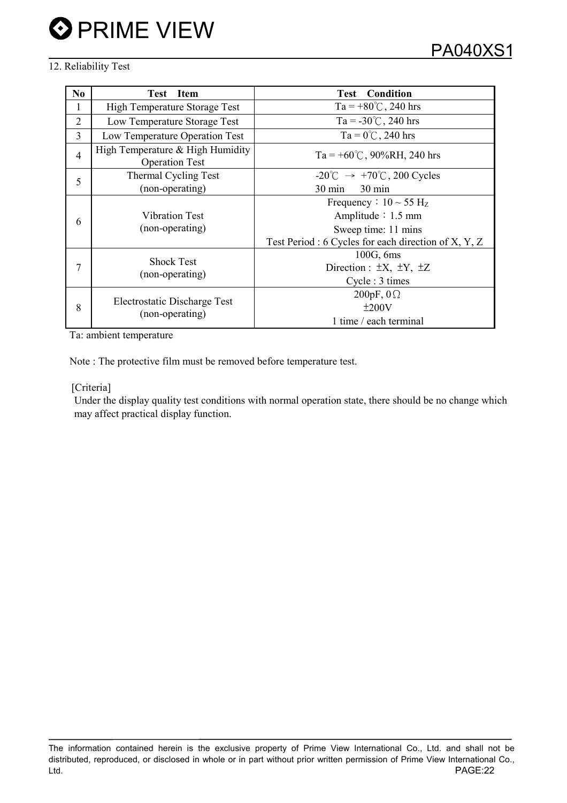## 12. Reliability Test

| N <sub>0</sub> | <b>Item</b><br><b>Test</b>                                | Condition<br>Test                                       |
|----------------|-----------------------------------------------------------|---------------------------------------------------------|
|                | High Temperature Storage Test                             | Ta = +80°C, 240 hrs                                     |
| 2              | Low Temperature Storage Test                              | Ta = $-30^{\circ}$ C, 240 hrs                           |
| 3              | Low Temperature Operation Test                            | $Ta = 0^{\circ}C$ , 240 hrs                             |
| 4              | High Temperature & High Humidity<br><b>Operation Test</b> | Ta = +60°C, 90%RH, 240 hrs                              |
| 5              | Thermal Cycling Test                                      | $-20^{\circ}$ C $\rightarrow +70^{\circ}$ C, 200 Cycles |
|                | (non-operating)                                           | $30 \text{ min}$<br>$30 \text{ min}$                    |
| 6              |                                                           | Frequency : $10 \sim 55$ H <sub>z</sub>                 |
|                | Vibration Test                                            | Amplitude $: 1.5$ mm                                    |
|                | (non-operating)                                           | Sweep time: 11 mins                                     |
|                |                                                           | Test Period : 6 Cycles for each direction of X, Y, Z    |
| 7              | <b>Shock Test</b><br>(non-operating)                      | 100G, 6ms                                               |
|                |                                                           | Direction : $\pm X$ , $\pm Y$ , $\pm Z$                 |
|                |                                                           | Cycle: 3 times                                          |
| 8              | Electrostatic Discharge Test<br>(non-operating)           | 200pF, $0\Omega$                                        |
|                |                                                           | ±200V                                                   |
|                |                                                           | 1 time / each terminal                                  |

Ta: ambient temperature

Note : The protective film must be removed before temperature test.

#### [Criteria]

Under the display quality test conditions with normal operation state, there should be no change which may affect practical display function.

The information contained herein is the exclusive property of Prime View International Co., Ltd. and shall not be distributed, reproduced, or disclosed in whole or in part without prior written permission of Prime View International Co., Ltd. PAGE:22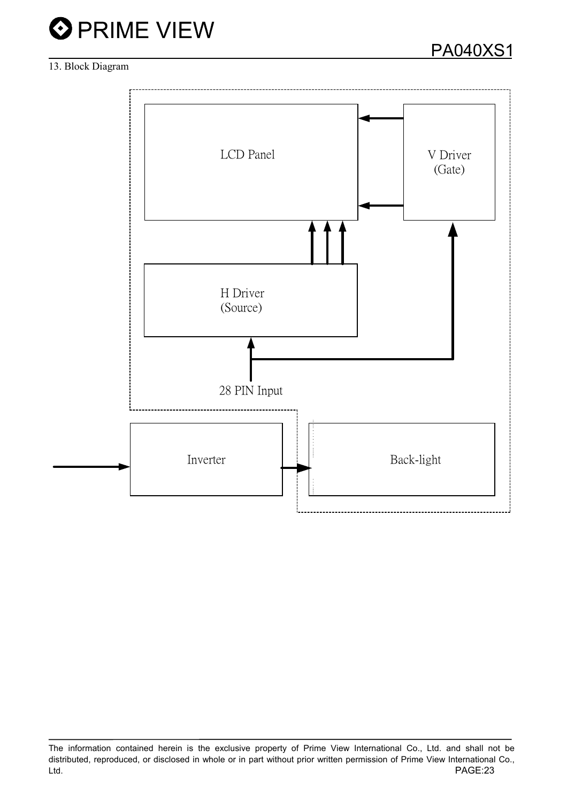

## 13. Block Diagram



The information contained herein is the exclusive property of Prime View International Co., Ltd. and shall not be distributed, reproduced, or disclosed in whole or in part without prior written permission of Prime View International Co., PAGE:23 Ltd.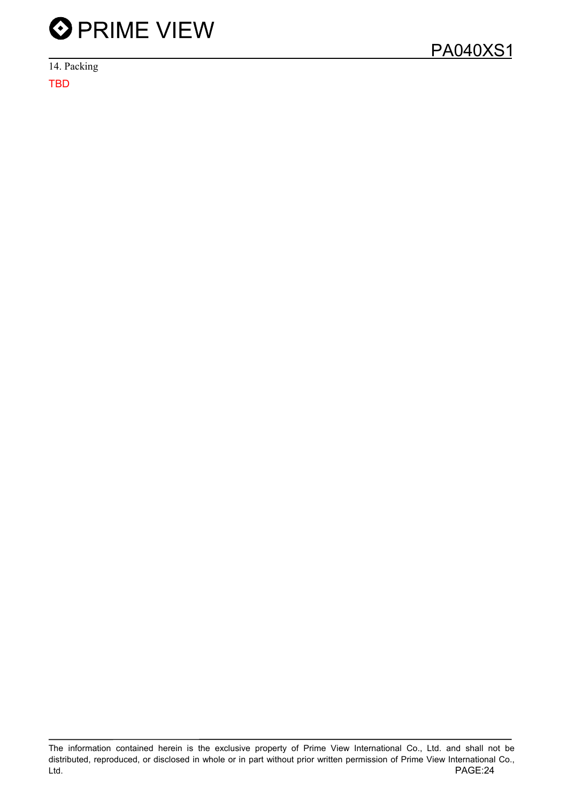

14. Packing TBD